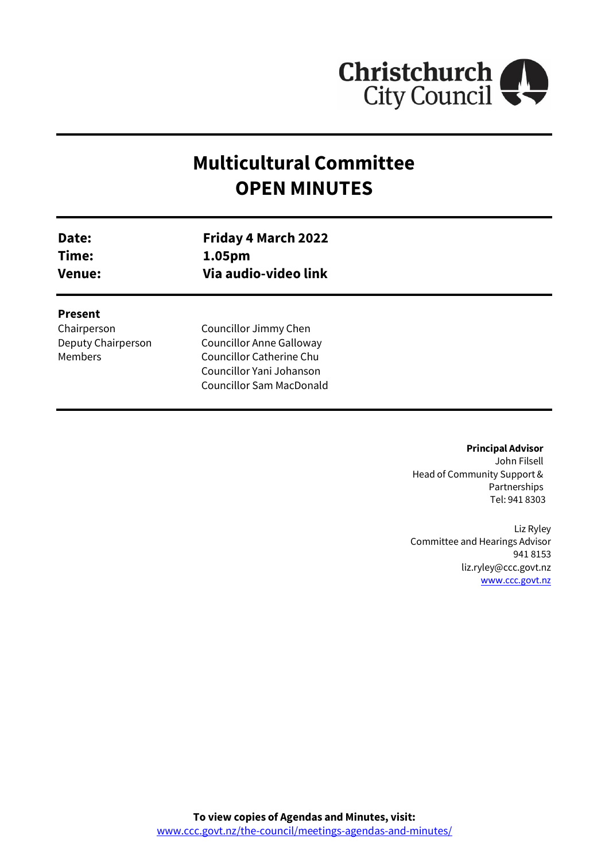

# **Multicultural Committee OPEN MINUTES**

| Date:<br>Time:<br><b>Venue:</b> | <b>Friday 4 March 2022</b><br>1.05pm<br>Via audio-video link                                                                      |  |
|---------------------------------|-----------------------------------------------------------------------------------------------------------------------------------|--|
| <b>Present</b><br>Chairperson   | Councillor Jimmy Chen                                                                                                             |  |
| Deputy Chairperson<br>Members   | <b>Councillor Anne Galloway</b><br><b>Councillor Catherine Chu</b><br>Councillor Yani Johanson<br><b>Councillor Sam MacDonald</b> |  |

**Principal Advisor**

John Filsell Head of Community Support & Partnerships Tel: 941 8303

Liz Ryley Committee and Hearings Advisor 941 8153 liz.ryley@ccc.govt.nz [www.ccc.govt.nz](http://www.ccc.govt.nz/)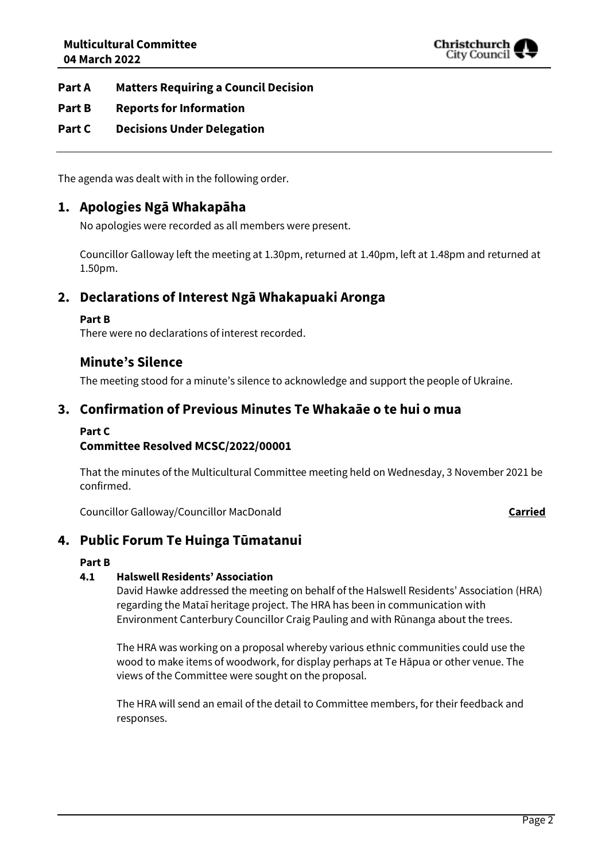

### **Part A Matters Requiring a Council Decision**

### **Part B Reports for Information**

### **Part C Decisions Under Delegation**

The agenda was dealt with in the following order.

### **1. Apologies Ngā Whakapāha**

No apologies were recorded as all members were present.

Councillor Galloway left the meeting at 1.30pm, returned at 1.40pm, left at 1.48pm and returned at 1.50pm.

### **2. Declarations of Interest Ngā Whakapuaki Aronga**

#### **Part B**

There were no declarations of interest recorded.

### **Minute's Silence**

The meeting stood for a minute's silence to acknowledge and support the people of Ukraine.

### **3. Confirmation of Previous Minutes Te Whakaāe o te hui o mua**

### **Part C**

### **Committee Resolved MCSC/2022/00001**

That the minutes of the Multicultural Committee meeting held on Wednesday, 3 November 2021 be confirmed.

Councillor Galloway/Councillor MacDonald **Carried**

### **4. Public Forum Te Huinga Tūmatanui**

#### **Part B**

### **4.1 Halswell Residents' Association**

David Hawke addressed the meeting on behalf of the Halswell Residents' Association (HRA) regarding the Mataī heritage project. The HRA has been in communication with Environment Canterbury Councillor Craig Pauling and with Rūnanga about the trees.

The HRA was working on a proposal whereby various ethnic communities could use the wood to make items of woodwork, for display perhaps at Te Hāpua or other venue. The views of the Committee were sought on the proposal.

The HRA will send an email of the detail to Committee members, for their feedback and responses.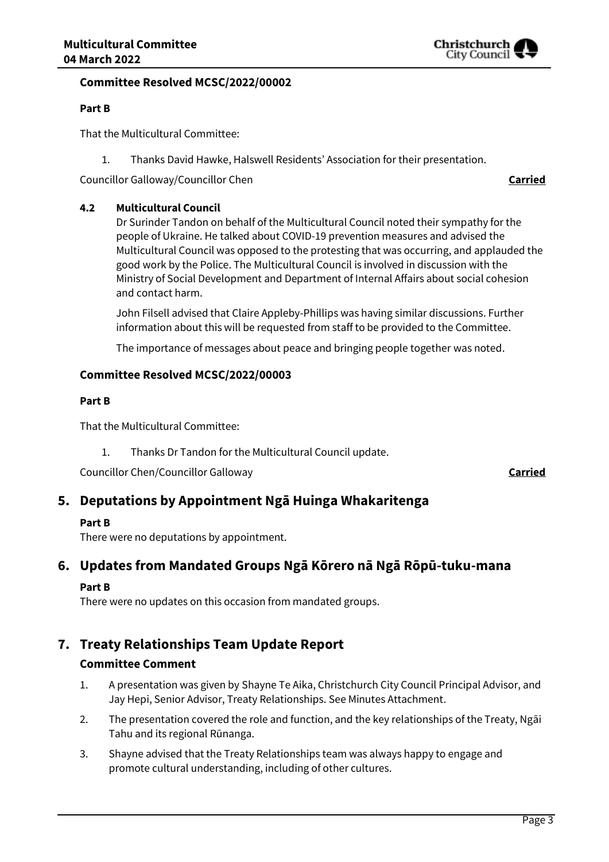

#### **Committee Resolved MCSC/2022/00002**

#### **Part B**

That the Multicultural Committee:

1. Thanks David Hawke, Halswell Residents' Association for their presentation.

Councillor Galloway/Councillor Chen **Carried**

#### **4.2 Multicultural Council**

Dr Surinder Tandon on behalf of the Multicultural Council noted their sympathy for the people of Ukraine. He talked about COVID-19 prevention measures and advised the Multicultural Council was opposed to the protesting that was occurring, and applauded the good work by the Police. The Multicultural Council is involved in discussion with the Ministry of Social Development and Department of Internal Affairs about social cohesion and contact harm.

John Filsell advised that Claire Appleby-Phillips was having similar discussions. Further information about this will be requested from staff to be provided to the Committee.

The importance of messages about peace and bringing people together was noted.

#### **Committee Resolved MCSC/2022/00003**

#### **Part B**

That the Multicultural Committee:

1. Thanks Dr Tandon for the Multicultural Council update.

Councillor Chen/Councillor Galloway **Carried**

### **5. Deputations by Appointment Ngā Huinga Whakaritenga**

#### **Part B**

There were no deputations by appointment.

## **6. Updates from Mandated Groups Ngā Kōrero nā Ngā Rōpū-tuku-mana**

### **Part B**

There were no updates on this occasion from mandated groups.

### **7. Treaty Relationships Team Update Report**

#### **Committee Comment**

- 1. A presentation was given by Shayne Te Aika, Christchurch City Council Principal Advisor, and Jay Hepi, Senior Advisor, Treaty Relationships. See Minutes Attachment.
- 2. The presentation covered the role and function, and the key relationships of the Treaty, Ngāi Tahu and its regional Rūnanga.
- 3. Shayne advised that the Treaty Relationships team was always happy to engage and promote cultural understanding, including of other cultures.

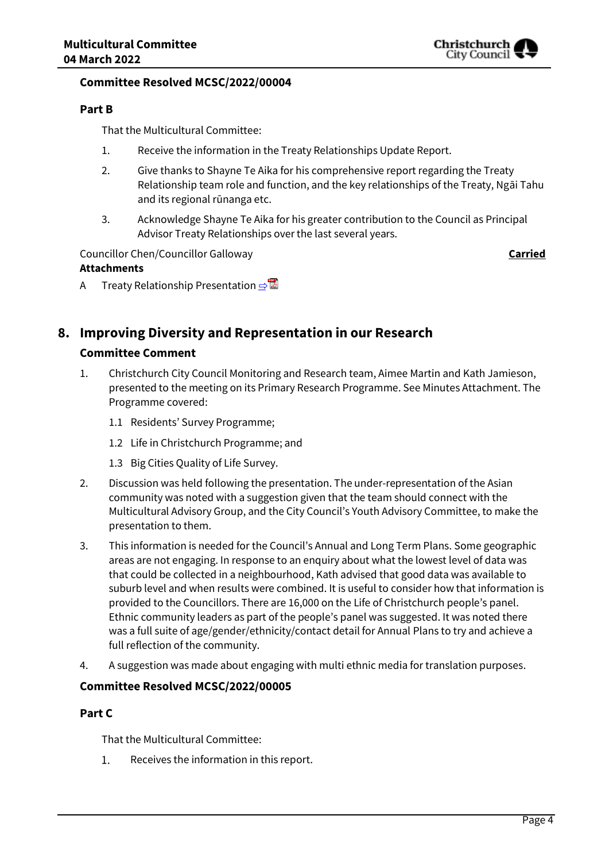

### **Committee Resolved MCSC/2022/00004**

### **Part B**

That the Multicultural Committee:

- 1. Receive the information in the Treaty Relationships Update Report.
- 2. Give thanks to Shayne Te Aika for his comprehensive report regarding the Treaty Relationship team role and function, and the key relationships of the Treaty, Ngāi Tahu and its regional rūnanga etc.
- 3. Acknowledge Shayne Te Aika for his greater contribution to the Council as Principal Advisor Treaty Relationships over the last several years.

Councillor Chen/Councillor Galloway **Carried Attachments**

A Treaty Relationship Presentation **[⇨](../../../RedirectToInvalidFileName.aspx?FileName=MCSC_20220304_MAT_7531.PDF#PAGE=3)** 

### **8. Improving Diversity and Representation in our Research**

### **Committee Comment**

- 1. Christchurch City Council Monitoring and Research team, Aimee Martin and Kath Jamieson, presented to the meeting on its Primary Research Programme. See Minutes Attachment. The Programme covered:
	- 1.1 Residents' Survey Programme;
	- 1.2 Life in Christchurch Programme; and
	- 1.3 Big Cities Quality of Life Survey.
- 2. Discussion was held following the presentation. The under-representation of the Asian community was noted with a suggestion given that the team should connect with the Multicultural Advisory Group, and the City Council's Youth Advisory Committee, to make the presentation to them.
- 3. This information is needed for the Council's Annual and Long Term Plans. Some geographic areas are not engaging. In response to an enquiry about what the lowest level of data was that could be collected in a neighbourhood, Kath advised that good data was available to suburb level and when results were combined. It is useful to consider how that information is provided to the Councillors. There are 16,000 on the Life of Christchurch people's panel. Ethnic community leaders as part of the people's panel was suggested. It was noted there was a full suite of age/gender/ethnicity/contact detail for Annual Plans to try and achieve a full reflection of the community.
- 4. A suggestion was made about engaging with multi ethnic media for translation purposes.

### **Committee Resolved MCSC/2022/00005**

### **Part C**

That the Multicultural Committee:

1. Receives the information in this report.